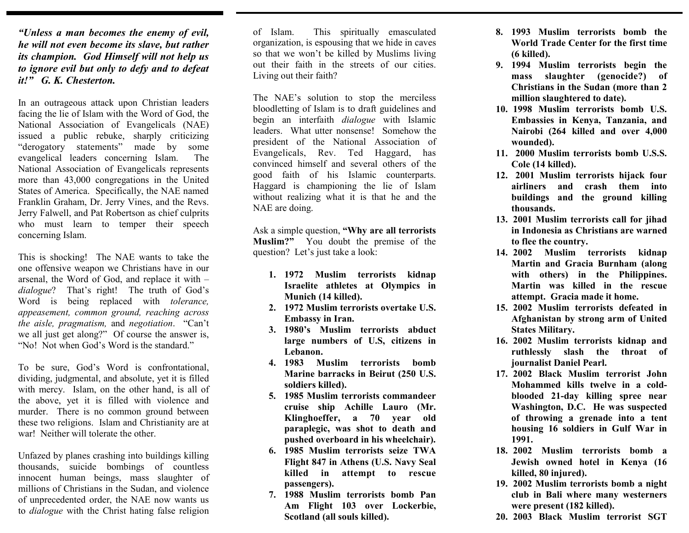*"Unless a man becomes the enemy of evil, he will not even become its slave, but rather its champion. God Himself will not help us to ignore evil but only to defy and to defeat it!" G. K. Chesterton.* 

In an outrageous attack upon Christian leaders facing the lie of Islam with the Word of God, the National Association of Evangelicals (NAE) issued a public rebuke, sharply criticizing "derogatory statements" made by some evangelical leaders concerning Islam. The National Association of Evangelicals represents more than 43,000 congregations in the United States of America. Specifically, the NAE named Franklin Graham, Dr. Jerry Vines, and the Revs. Jerry Falwell, and Pat Robertson as chief culprits who must learn to temper their speech concerning Islam.

This is shocking! The NAE wants to take the one offensive weapon we Christians have in our arsenal, the Word of God, and replace it with – *dialogue*? That's right! The truth of God's Word is being replaced with *tolerance, appeasement, common ground, reaching across the aisle, pragmatism,* and *negotiation*. "Can't we all just get along?" Of course the answer is, "No! Not when God's Word is the standard."

To be sure, God's Word is confrontational, dividing, judgmental, and absolute, yet it is filled with mercy. Islam, on the other hand, is all of the above, yet it is filled with violence and murder. There is no common ground between these two religions. Islam and Christianity are at war! Neither will tolerate the other.

Unfazed by planes crashing into buildings killing thousands, suicide bombings of countless innocent human beings, mass slaughter of millions of Christians in the Sudan, and violence of unprecedented order, the NAE now wants us to *dialogue* with the Christ hating false religion

of Islam. This spiritually emasculated organization, is espousing that we hide in caves so that we won't be killed by Muslims living out their faith in the streets of our cities. Living out their faith?

The NAE's solution to stop the merciless bloodletting of Islam is to draft guidelines and begin an interfaith *dialogue* with Islamic leaders. What utter nonsense! Somehow the president of the National Association of Evangelicals, Rev. Ted Haggard, has convinced himself and several others of the good faith of his Islamic counterparts. Haggard is championing the lie of Islam without realizing what it is that he and the NAE are doing.

Ask a simple question, **"Why are all terrorists Muslim?"** You doubt the premise of the question? Let's just take a look:

- **1. 1972 Muslim terrorists kidnap Israelite athletes at Olympics in Munich (14 killed).**
- **2. 1972 Muslim terrorists overtake U.S. Embassy in Iran.**
- **3. 1980's Muslim terrorists abduct large numbers of U.S, citizens in Lebanon.**
- **4. 1983 Muslim terrorists bomb Marine barracks in Beirut (250 U.S. soldiers killed).**
- **5. 1985 Muslim terrorists commandeer cruise ship Achille Lauro (Mr. Klinghoeffer, a 70 year old paraplegic, was shot to death and pushed overboard in his wheelchair).**
- **6. 1985 Muslim terrorists seize TWA Flight 847 in Athens (U.S. Navy Seal killed in attempt to rescue passengers).**
- **7. 1988 Muslim terrorists bomb Pan Am Flight 103 over Lockerbie, Scotland (all souls killed).**
- **8. 1993 Muslim terrorists bomb the World Trade Center for the first time (6 killed).**
- **9. 1994 Muslim terrorists begin the mass slaughter (genocide?) of Christians in the Sudan (more than 2 million slaughtered to date).**
- **10. 1998 Muslim terrorists bomb U.S. Embassies in Kenya, Tanzania, and Nairobi (264 killed and over 4,000 wounded).**
- **11. 2000 Muslim terrorists bomb U.S.S. Cole (14 killed).**
- **12. 2001 Muslim terrorists hijack four airliners and crash them into buildings and the ground killing thousands.**
- **13. 2001 Muslim terrorists call for jihad in Indonesia as Christians are warned to flee the country.**
- **14. 2002 Muslim terrorists kidnap Martin and Gracia Burnham (along with others) in the Philippines. Martin was killed in the rescue attempt. Gracia made it home.**
- **15. 2002 Muslim terrorists defeated in Afghanistan by strong arm of United States Military.**
- **16. 2002 Muslim terrorists kidnap and ruthlessly slash the throat of journalist Daniel Pearl.**
- **17. 2002 Black Muslim terrorist John Mohammed kills twelve in a coldblooded 21-day killing spree near Washington, D.C. He was suspected of throwing a grenade into a tent housing 16 soldiers in Gulf War in 1991.**
- **18. 2002 Muslim terrorists bomb a Jewish owned hotel in Kenya (16 killed, 80 injured).**
- **19. 2002 Muslim terrorists bomb a night club in Bali where many westerners were present (182 killed).**
- **20. 2003 Black Muslim terrorist SGT**